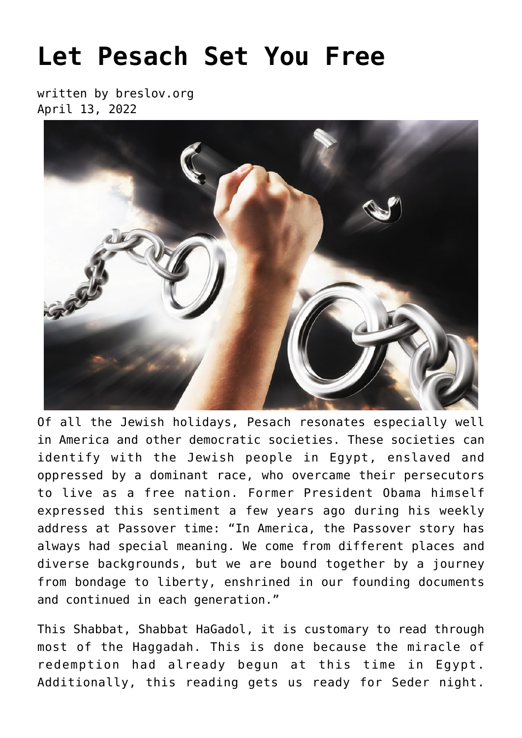## **[Let Pesach Set You Free](https://breslov.org/let-pesach-set-you-free/)**

written by breslov.org April 13, 2022



Of all the Jewish holidays, Pesach resonates especially well in America and other democratic societies. These societies can identify with the Jewish people in Egypt, enslaved and oppressed by a dominant race, who overcame their persecutors to live as a free nation. Former President Obama himself expressed this sentiment a few years ago during his weekly address at Passover time: "In America, the Passover story has always had special meaning. We come from different places and diverse backgrounds, but we are bound together by a journey from bondage to liberty, enshrined in our founding documents and continued in each generation."

This Shabbat, Shabbat HaGadol, it is customary to read through most of the Haggadah. This is done because the miracle of redemption had already begun at this time in Egypt. Additionally, this reading gets us ready for Seder night.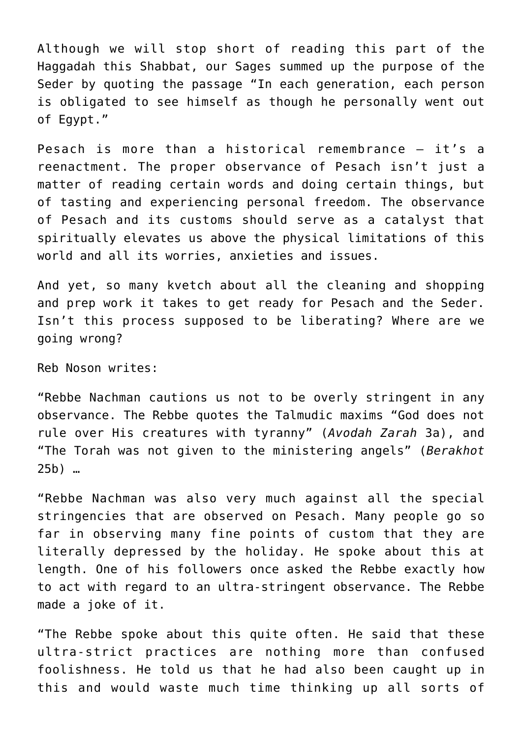Although we will stop short of reading this part of the Haggadah this Shabbat, our Sages summed up the purpose of the Seder by quoting the passage "In each generation, each person is obligated to see himself as though he personally went out of Egypt."

Pesach is more than a historical remembrance – it's a reenactment. The proper observance of Pesach isn't just a matter of reading certain words and doing certain things, but of tasting and experiencing personal freedom. The observance of Pesach and its customs should serve as a catalyst that spiritually elevates us above the physical limitations of this world and all its worries, anxieties and issues.

And yet, so many kvetch about all the cleaning and shopping and prep work it takes to get ready for Pesach and the Seder. Isn't this process supposed to be liberating? Where are we going wrong?

Reb Noson writes:

"Rebbe Nachman cautions us not to be overly stringent in any observance. The Rebbe quotes the Talmudic maxims "God does not rule over His creatures with tyranny" (*Avodah Zarah* 3a), and "The Torah was not given to the ministering angels" (*Berakhot* 25b) …

"Rebbe Nachman was also very much against all the special stringencies that are observed on Pesach. Many people go so far in observing many fine points of custom that they are literally depressed by the holiday. He spoke about this at length. One of his followers once asked the Rebbe exactly how to act with regard to an ultra-stringent observance. The Rebbe made a joke of it.

"The Rebbe spoke about this quite often. He said that these ultra-strict practices are nothing more than confused foolishness. He told us that he had also been caught up in this and would waste much time thinking up all sorts of